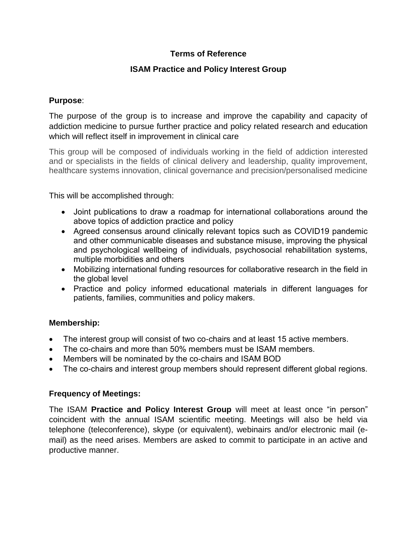# **Terms of Reference**

# **ISAM Practice and Policy Interest Group**

### **Purpose**:

The purpose of the group is to increase and improve the capability and capacity of addiction medicine to pursue further practice and policy related research and education which will reflect itself in improvement in clinical care

This group will be composed of individuals working in the field of addiction interested and or specialists in the fields of clinical delivery and leadership, quality improvement, healthcare systems innovation, clinical governance and precision/personalised medicine

This will be accomplished through:

- Joint publications to draw a roadmap for international collaborations around the above topics of addiction practice and policy
- Agreed consensus around clinically relevant topics such as COVID19 pandemic and other communicable diseases and substance misuse, improving the physical and psychological wellbeing of individuals, psychosocial rehabilitation systems, multiple morbidities and others
- Mobilizing international funding resources for collaborative research in the field in the global level
- Practice and policy informed educational materials in different languages for patients, families, communities and policy makers.

## **Membership:**

- The interest group will consist of two co-chairs and at least 15 active members.
- The co-chairs and more than 50% members must be ISAM members.
- Members will be nominated by the co-chairs and ISAM BOD
- The co-chairs and interest group members should represent different global regions.

#### **Frequency of Meetings:**

The ISAM **Practice and Policy Interest Group** will meet at least once "in person" coincident with the annual ISAM scientific meeting. Meetings will also be held via telephone (teleconference), skype (or equivalent), webinairs and/or electronic mail (email) as the need arises. Members are asked to commit to participate in an active and productive manner.